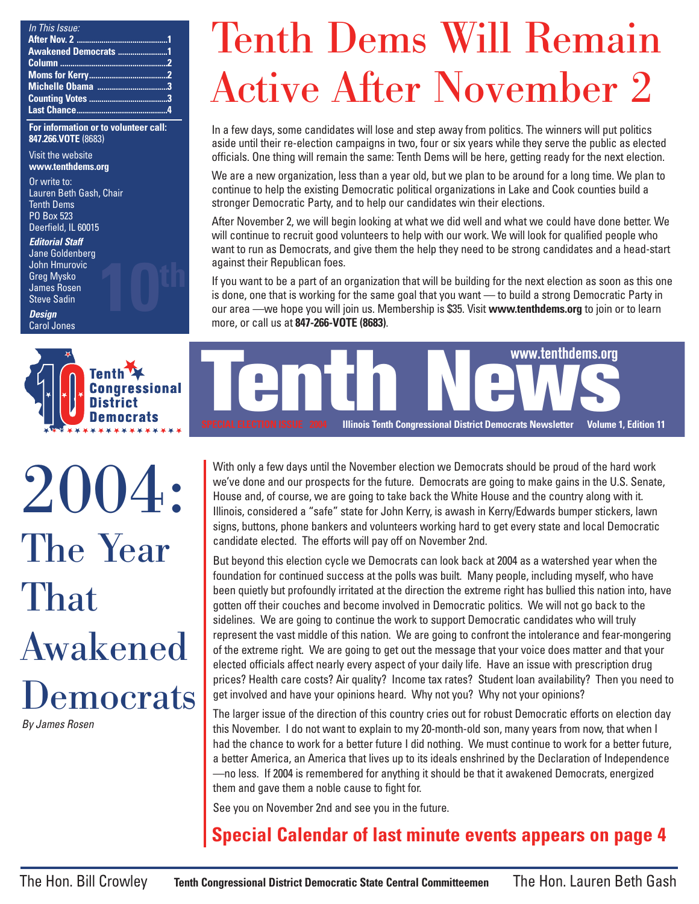| In This Issue:       |  |
|----------------------|--|
|                      |  |
| Awakened Democrats 1 |  |
|                      |  |
|                      |  |
| Michelle Obama 3     |  |
|                      |  |
|                      |  |

**For information or to volunteer call: 847.266.VOTE** (8683)

Visit the website **www.tenthdems.org** 

Or write to: Lauren Beth Gash, Chair Tenth Dems PO Box 523

Deerfield, IL 60015

**Editorial Staff** Jane Goldenberg John Hmurovic Greg Mysko James Rosen Steve Sadin

**10th**

**Design** Carol Jones



2004: The Year That Awakened Democrats By James Rosen

### Tenth Dems Will Remain Active After November 2

In a few days, some candidates will lose and step away from politics. The winners will put politics aside until their re-election campaigns in two, four or six years while they serve the public as elected officials. One thing will remain the same: Tenth Dems will be here, getting ready for the next election.

We are a new organization, less than a year old, but we plan to be around for a long time. We plan to continue to help the existing Democratic political organizations in Lake and Cook counties build a stronger Democratic Party, and to help our candidates win their elections.

After November 2, we will begin looking at what we did well and what we could have done better. We will continue to recruit good volunteers to help with our work. We will look for qualified people who want to run as Democrats, and give them the help they need to be strong candidates and a head-start against their Republican foes.

If you want to be a part of an organization that will be building for the next election as soon as this one is done, one that is working for the same goal that you want — to build a strong Democratic Party in our area —we hope you will join us. Membership is \$35. Visit **www.tenthdems.org** to join or to learn more, or call us at **847-266-VOTE (8683)**.



With only a few days until the November election we Democrats should be proud of the hard work we've done and our prospects for the future. Democrats are going to make gains in the U.S. Senate, House and, of course, we are going to take back the White House and the country along with it. Illinois, considered a "safe" state for John Kerry, is awash in Kerry/Edwards bumper stickers, lawn signs, buttons, phone bankers and volunteers working hard to get every state and local Democratic candidate elected. The efforts will pay off on November 2nd.

But beyond this election cycle we Democrats can look back at 2004 as a watershed year when the foundation for continued success at the polls was built. Many people, including myself, who have been quietly but profoundly irritated at the direction the extreme right has bullied this nation into, have gotten off their couches and become involved in Democratic politics. We will not go back to the sidelines. We are going to continue the work to support Democratic candidates who will truly represent the vast middle of this nation. We are going to confront the intolerance and fear-mongering of the extreme right. We are going to get out the message that your voice does matter and that your elected officials affect nearly every aspect of your daily life. Have an issue with prescription drug prices? Health care costs? Air quality? Income tax rates? Student loan availability? Then you need to get involved and have your opinions heard. Why not you? Why not your opinions?

The larger issue of the direction of this country cries out for robust Democratic efforts on election day this November. I do not want to explain to my 20-month-old son, many years from now, that when I had the chance to work for a better future I did nothing. We must continue to work for a better future, a better America, an America that lives up to its ideals enshrined by the Declaration of Independence —no less. If 2004 is remembered for anything it should be that it awakened Democrats, energized them and gave them a noble cause to fight for.

See you on November 2nd and see you in the future.

#### **Special Calendar of last minute events appears on page 4**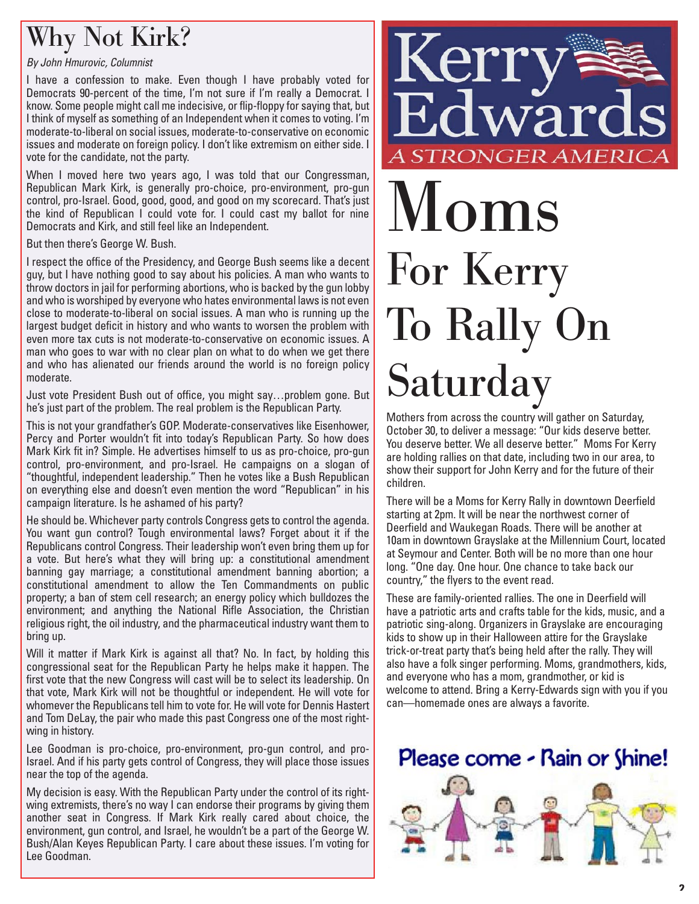#### Why Not Kirk?

#### By John Hmurovic, Columnist

I have a confession to make. Even though I have probably voted for Democrats 90-percent of the time, I'm not sure if I'm really a Democrat. I know. Some people might call me indecisive, or flip-floppy for saying that, but I think of myself as something of an Independent when it comes to voting. I'm moderate-to-liberal on social issues, moderate-to-conservative on economic issues and moderate on foreign policy. I don't like extremism on either side. I vote for the candidate, not the party.

When I moved here two years ago, I was told that our Congressman, Republican Mark Kirk, is generally pro-choice, pro-environment, pro-gun control, pro-Israel. Good, good, good, and good on my scorecard. That's just the kind of Republican I could vote for. I could cast my ballot for nine Democrats and Kirk, and still feel like an Independent.

But then there's George W. Bush.

I respect the office of the Presidency, and George Bush seems like a decent guy, but I have nothing good to say about his policies. A man who wants to throw doctors in jail for performing abortions, who is backed by the gun lobby and who is worshiped by everyone who hates environmental laws is not even close to moderate-to-liberal on social issues. A man who is running up the largest budget deficit in history and who wants to worsen the problem with even more tax cuts is not moderate-to-conservative on economic issues. A man who goes to war with no clear plan on what to do when we get there and who has alienated our friends around the world is no foreign policy moderate.

Just vote President Bush out of office, you might say…problem gone. But he's just part of the problem. The real problem is the Republican Party.

This is not your grandfather's GOP. Moderate-conservatives like Eisenhower, Percy and Porter wouldn't fit into today's Republican Party. So how does Mark Kirk fit in? Simple. He advertises himself to us as pro-choice, pro-gun control, pro-environment, and pro-Israel. He campaigns on a slogan of "thoughtful, independent leadership." Then he votes like a Bush Republican on everything else and doesn't even mention the word "Republican" in his campaign literature. Is he ashamed of his party?

He should be. Whichever party controls Congress gets to control the agenda. You want gun control? Tough environmental laws? Forget about it if the Republicans control Congress. Their leadership won't even bring them up for a vote. But here's what they will bring up: a constitutional amendment banning gay marriage; a constitutional amendment banning abortion; a constitutional amendment to allow the Ten Commandments on public property; a ban of stem cell research; an energy policy which bulldozes the environment; and anything the National Rifle Association, the Christian religious right, the oil industry, and the pharmaceutical industry want them to bring up.

Will it matter if Mark Kirk is against all that? No. In fact, by holding this congressional seat for the Republican Party he helps make it happen. The first vote that the new Congress will cast will be to select its leadership. On that vote, Mark Kirk will not be thoughtful or independent. He will vote for whomever the Republicans tell him to vote for. He will vote for Dennis Hastert and Tom DeLay, the pair who made this past Congress one of the most rightwing in history.

Lee Goodman is pro-choice, pro-environment, pro-gun control, and pro-Israel. And if his party gets control of Congress, they will place those issues near the top of the agenda.

My decision is easy. With the Republican Party under the control of its rightwing extremists, there's no way I can endorse their programs by giving them another seat in Congress. If Mark Kirk really cared about choice, the environment, gun control, and Israel, he wouldn't be a part of the George W. Bush/Alan Keyes Republican Party. I care about these issues. I'm voting for Lee Goodman.



# Moms For Kerry To Rally On Saturday

Mothers from across the country will gather on Saturday, October 30, to deliver a message: "Our kids deserve better. You deserve better. We all deserve better." Moms For Kerry are holding rallies on that date, including two in our area, to show their support for John Kerry and for the future of their children.

There will be a Moms for Kerry Rally in downtown Deerfield starting at 2pm. It will be near the northwest corner of Deerfield and Waukegan Roads. There will be another at 10am in downtown Grayslake at the Millennium Court, located at Seymour and Center. Both will be no more than one hour long. "One day. One hour. One chance to take back our country," the flyers to the event read.

These are family-oriented rallies. The one in Deerfield will have a patriotic arts and crafts table for the kids, music, and a patriotic sing-along. Organizers in Grayslake are encouraging kids to show up in their Halloween attire for the Grayslake trick-or-treat party that's being held after the rally. They will also have a folk singer performing. Moms, grandmothers, kids, and everyone who has a mom, grandmother, or kid is welcome to attend. Bring a Kerry-Edwards sign with you if you can—homemade ones are always a favorite.

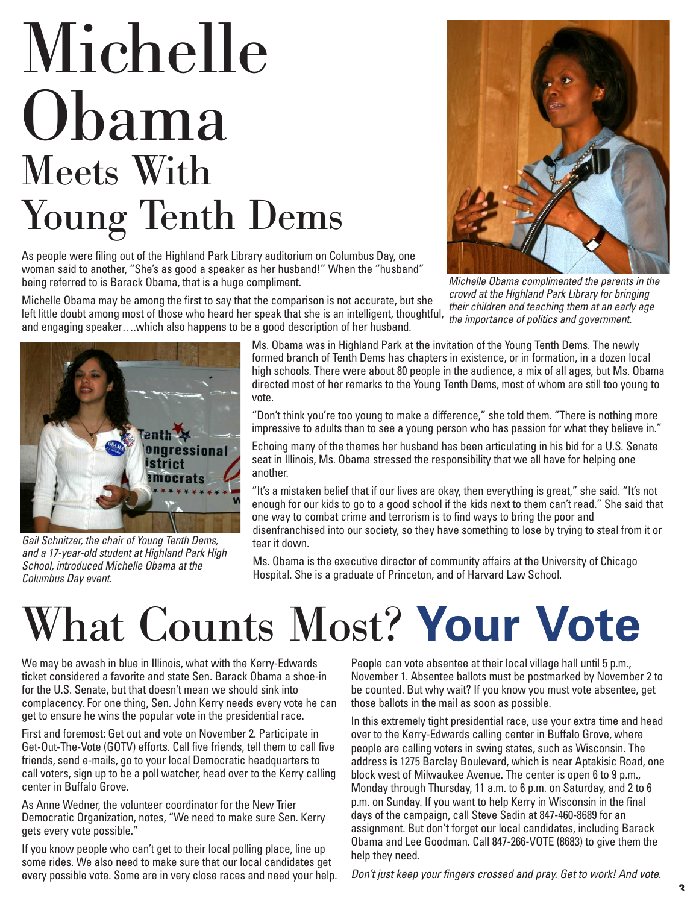## Michelle Obama Meets With Young Tenth Dems

As people were filing out of the Highland Park Library auditorium on Columbus Day, one woman said to another, "She's as good a speaker as her husband!" When the "husband" being referred to is Barack Obama, that is a huge compliment.



Michelle Obama complimented the parents in the crowd at the Highland Park Library for bringing their children and teaching them at an early age the importance of politics and government.

Michelle Obama may be among the first to say that the comparison is not accurate, but she left little doubt among most of those who heard her speak that she is an intelligent, thoughtful, and engaging speaker….which also happens to be a good description of her husband.



Gail Schnitzer, the chair of Young Tenth Dems, and a 17-year-old student at Highland Park High School, introduced Michelle Obama at the Columbus Day event.

Ms. Obama was in Highland Park at the invitation of the Young Tenth Dems. The newly formed branch of Tenth Dems has chapters in existence, or in formation, in a dozen local high schools. There were about 80 people in the audience, a mix of all ages, but Ms. Obama directed most of her remarks to the Young Tenth Dems, most of whom are still too young to vote.

"Don't think you're too young to make a difference," she told them. "There is nothing more impressive to adults than to see a young person who has passion for what they believe in."

Echoing many of the themes her husband has been articulating in his bid for a U.S. Senate seat in Illinois, Ms. Obama stressed the responsibility that we all have for helping one another.

"It's a mistaken belief that if our lives are okay, then everything is great," she said. "It's not enough for our kids to go to a good school if the kids next to them can't read." She said that one way to combat crime and terrorism is to find ways to bring the poor and disenfranchised into our society, so they have something to lose by trying to steal from it or tear it down.

Ms. Obama is the executive director of community affairs at the University of Chicago Hospital. She is a graduate of Princeton, and of Harvard Law School.

### What Counts Most? **Your Vote**

We may be awash in blue in Illinois, what with the Kerry-Edwards ticket considered a favorite and state Sen. Barack Obama a shoe-in for the U.S. Senate, but that doesn't mean we should sink into complacency. For one thing, Sen. John Kerry needs every vote he can get to ensure he wins the popular vote in the presidential race.

First and foremost: Get out and vote on November 2. Participate in Get-Out-The-Vote (GOTV) efforts. Call five friends, tell them to call five friends, send e-mails, go to your local Democratic headquarters to call voters, sign up to be a poll watcher, head over to the Kerry calling center in Buffalo Grove.

As Anne Wedner, the volunteer coordinator for the New Trier Democratic Organization, notes, "We need to make sure Sen. Kerry gets every vote possible."

If you know people who can't get to their local polling place, line up some rides. We also need to make sure that our local candidates get every possible vote. Some are in very close races and need your help.

People can vote absentee at their local village hall until 5 p.m., November 1. Absentee ballots must be postmarked by November 2 to be counted. But why wait? If you know you must vote absentee, get those ballots in the mail as soon as possible.

In this extremely tight presidential race, use your extra time and head over to the Kerry-Edwards calling center in Buffalo Grove, where people are calling voters in swing states, such as Wisconsin. The address is 1275 Barclay Boulevard, which is near Aptakisic Road, one block west of Milwaukee Avenue. The center is open 6 to 9 p.m., Monday through Thursday, 11 a.m. to 6 p.m. on Saturday, and 2 to 6 p.m. on Sunday. If you want to help Kerry in Wisconsin in the final days of the campaign, call Steve Sadin at 847-460-8689 for an assignment. But don't forget our local candidates, including Barack Obama and Lee Goodman. Call 847-266-VOTE (8683) to give them the help they need.

Don't just keep your fingers crossed and pray. Get to work! And vote.